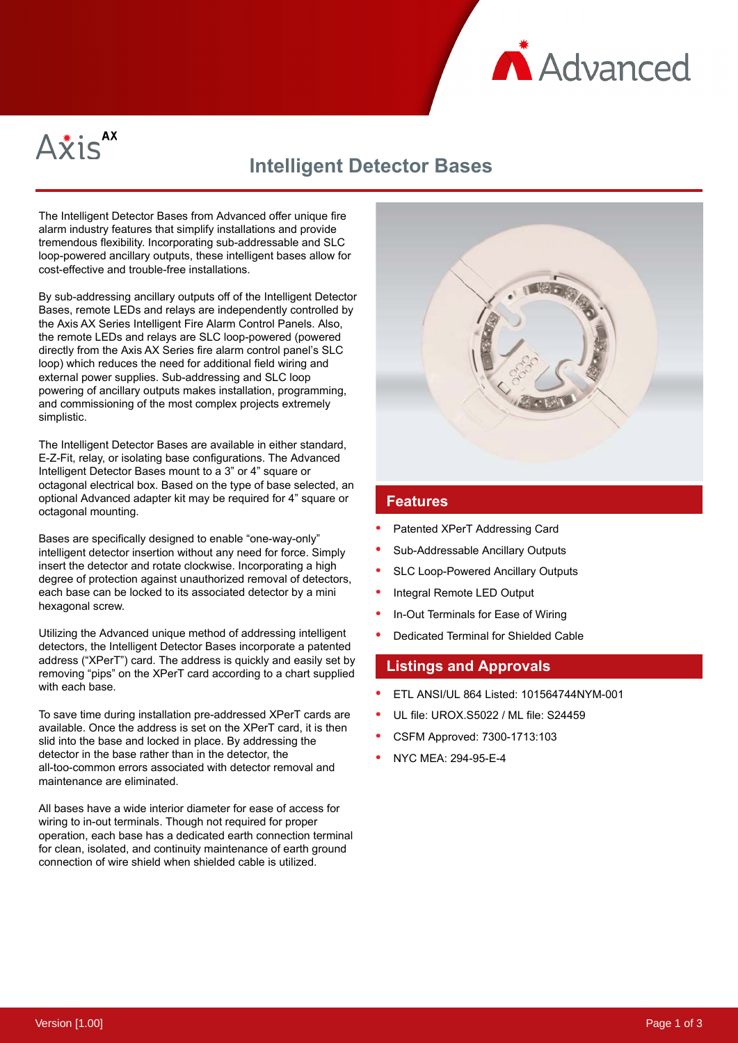



# **Intelligent Detector Bases**

The Intelligent Detector Bases from Advanced offer unique fire alarm industry features that simplify installations and provide tremendous flexibility. Incorporating sub-addressable and SLC loop-powered ancillary outputs, these intelligent bases allow for cost-effective and trouble-free installations.

By sub-addressing ancillary outputs off of the Intelligent Detector Bases, remote LEDs and relays are independently controlled by the Axis AX Series Intelligent Fire Alarm Control Panels. Also, the remote LEDs and relays are SLC loop-powered (powered directly from the Axis AX Series fire alarm control panel's SLC loop) which reduces the need for additional field wiring and external power supplies. Sub-addressing and SLC loop powering of ancillary outputs makes installation, programming, and commissioning of the most complex projects extremely simplistic.

The Intelligent Detector Bases are available in either standard, E-Z-Fit, relay, or isolating base configurations. The Advanced Intelligent Detector Bases mount to a 3" or 4" square or octagonal electrical box. Based on the type of base selected, an optional Advanced adapter kit may be required for 4" square or octagonal mounting.

Bases are specifically designed to enable "one-way-only" intelligent detector insertion without any need for force. Simply insert the detector and rotate clockwise. Incorporating a high degree of protection against unauthorized removal of detectors, each base can be locked to its associated detector by a mini hexagonal screw.

Utilizing the Advanced unique method of addressing intelligent detectors, the Intelligent Detector Bases incorporate a patented address ("XPerT") card. The address is quickly and easily set by removing "pips" on the XPerT card according to a chart supplied with each base.

To save time during installation pre-addressed XPerT cards are available. Once the address is set on the XPerT card, it is then slid into the base and locked in place. By addressing the detector in the base rather than in the detector, the all-too-common errors associated with detector removal and maintenance are eliminated.

All bases have a wide interior diameter for ease of access for wiring to in-out terminals. Though not required for proper operation, each base has a dedicated earth connection terminal for clean, isolated, and continuity maintenance of earth ground connection of wire shield when shielded cable is utilized.



### **Features**

- Patented XPerT Addressing Card
- Sub-Addressable Ancillary Outputs
- SLC Loop-Powered Ancillary Outputs
- Integral Remote LED Output
- In-Out Terminals for Ease of Wiring
- Dedicated Terminal for Shielded Cable

## **Listings and Approvals**

- ETL ANSI/UL 864 Listed: 101564744NYM-001
- UL file: UROX.S5022 / ML file: S24459
- CSFM Approved: 7300-1713:103
- NYC MEA: 294-95-E-4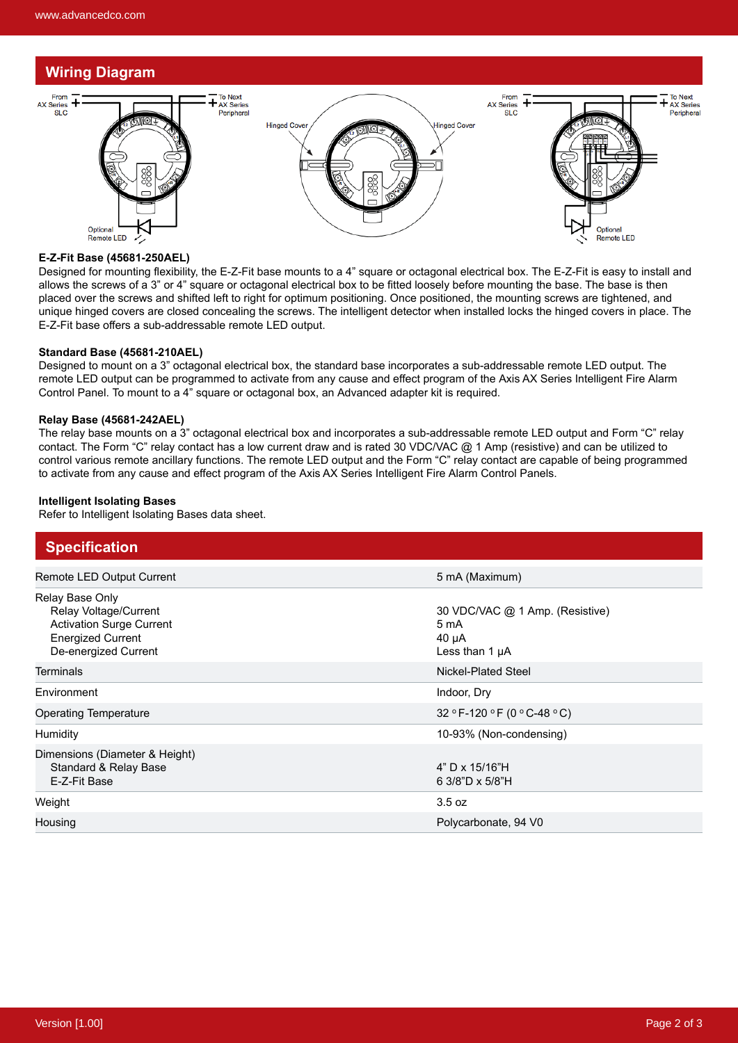# **Wiring Diagram**



#### **E-Z-Fit Base (45681-250AEL)**

Designed for mounting flexibility, the E-Z-Fit base mounts to a 4" square or octagonal electrical box. The E-Z-Fit is easy to install and allows the screws of a 3" or 4" square or octagonal electrical box to be fitted loosely before mounting the base. The base is then placed over the screws and shifted left to right for optimum positioning. Once positioned, the mounting screws are tightened, and unique hinged covers are closed concealing the screws. The intelligent detector when installed locks the hinged covers in place. The E-Z-Fit base offers a sub-addressable remote LED output.

### **Standard Base (45681-210AEL)**

Designed to mount on a 3" octagonal electrical box, the standard base incorporates a sub-addressable remote LED output. The remote LED output can be programmed to activate from any cause and effect program of the Axis AX Series Intelligent Fire Alarm Control Panel. To mount to a 4" square or octagonal box, an Advanced adapter kit is required.

#### **Relay Base (45681-242AEL)**

The relay base mounts on a 3" octagonal electrical box and incorporates a sub-addressable remote LED output and Form "C" relay contact. The Form "C" relay contact has a low current draw and is rated 30 VDC/VAC @ 1 Amp (resistive) and can be utilized to control various remote ancillary functions. The remote LED output and the Form "C" relay contact are capable of being programmed to activate from any cause and effect program of the Axis AX Series Intelligent Fire Alarm Control Panels.

#### **Intelligent Isolating Bases**

Refer to Intelligent Isolating Bases data sheet.

| <b>Specification</b>                                                                                                            |                                                                              |
|---------------------------------------------------------------------------------------------------------------------------------|------------------------------------------------------------------------------|
| Remote LED Output Current                                                                                                       | 5 mA (Maximum)                                                               |
| Relay Base Only<br>Relay Voltage/Current<br><b>Activation Surge Current</b><br><b>Energized Current</b><br>De-energized Current | 30 VDC/VAC @ 1 Amp. (Resistive)<br>5 mA<br>$40 \mu A$<br>Less than $1 \mu A$ |
| <b>Terminals</b>                                                                                                                | Nickel-Plated Steel                                                          |
|                                                                                                                                 |                                                                              |
| Environment                                                                                                                     | Indoor, Dry                                                                  |
| <b>Operating Temperature</b>                                                                                                    | 32 ° F-120 ° F (0 ° C-48 ° C)                                                |
| Humidity                                                                                                                        | 10-93% (Non-condensing)                                                      |
| Dimensions (Diameter & Height)<br>Standard & Relay Base<br>E-Z-Fit Base                                                         | $4"$ D x 15/16"H<br>6 3/8"D x 5/8"H                                          |
| Weight                                                                                                                          | 3.5 oz                                                                       |